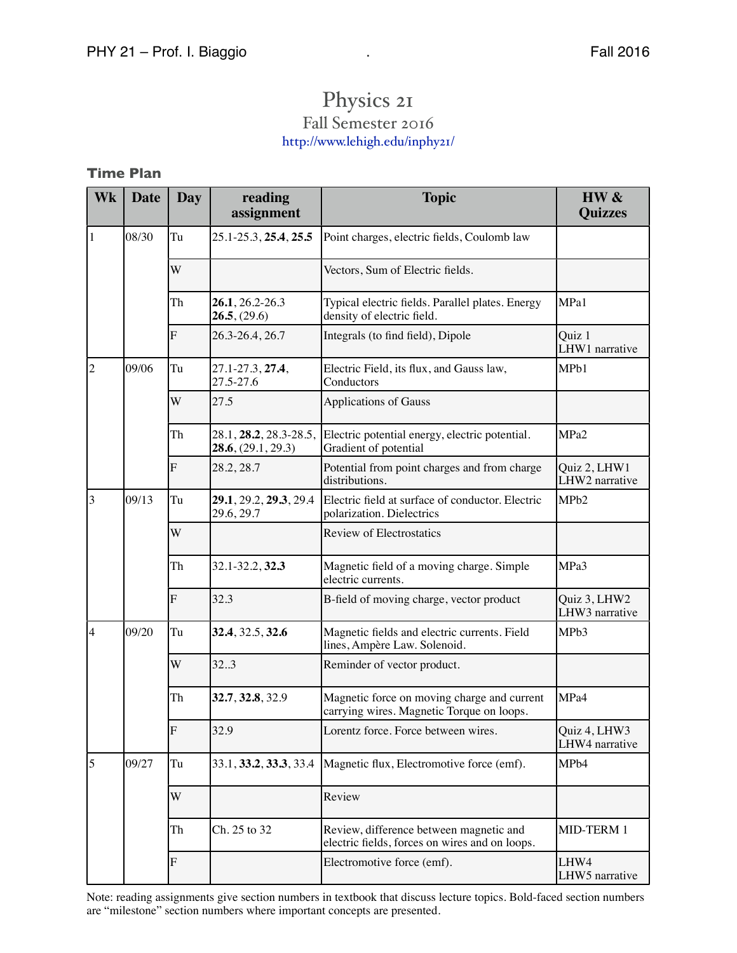## Physics 21 Fall Semester 2016 <http://www.lehigh.edu/inphy21/>

## **Time Plan**

| Wk          | <b>Date</b> | Day | reading<br>assignment                        | <b>Topic</b>                                                                              | HW &<br><b>Quizzes</b>         |
|-------------|-------------|-----|----------------------------------------------|-------------------------------------------------------------------------------------------|--------------------------------|
| $\vert$ 1   | 08/30       | Tu  | 25.1-25.3, 25.4, 25.5                        | Point charges, electric fields, Coulomb law                                               |                                |
|             |             | W   |                                              | Vectors, Sum of Electric fields.                                                          |                                |
|             |             | Th  | 26.1, 26.2-26.3<br>26.5, (29.6)              | Typical electric fields. Parallel plates. Energy<br>density of electric field.            | MPa1                           |
|             |             | F   | 26.3-26.4, 26.7                              | Integrals (to find field), Dipole                                                         | Quiz 1<br>LHW1 narrative       |
| $ 2\rangle$ | 09/06       | Tu  | 27.1-27.3, 27.4,<br>27.5-27.6                | Electric Field, its flux, and Gauss law,<br>Conductors                                    | MPb1                           |
|             |             | W   | 27.5                                         | <b>Applications of Gauss</b>                                                              |                                |
|             |             | Th  | 28.1, 28.2, 28.3-28.5,<br>28.6, (29.1, 29.3) | Electric potential energy, electric potential.<br>Gradient of potential                   | MPa <sub>2</sub>               |
|             |             | F   | 28.2, 28.7                                   | Potential from point charges and from charge<br>distributions.                            | Quiz 2, LHW1<br>LHW2 narrative |
| $\vert$ 3   | 09/13       | Tu  | 29.1, 29.2, 29.3, 29.4<br>29.6, 29.7         | Electric field at surface of conductor. Electric<br>polarization. Dielectrics             | MP <sub>b2</sub>               |
|             |             | W   |                                              | Review of Electrostatics                                                                  |                                |
|             |             | Th  | 32.1-32.2, 32.3                              | Magnetic field of a moving charge. Simple<br>electric currents.                           | MPa3                           |
|             |             | F   | 32.3                                         | B-field of moving charge, vector product                                                  | Quiz 3, LHW2<br>LHW3 narrative |
| 4           | 09/20       | Tu  | 32.4, 32.5, 32.6                             | Magnetic fields and electric currents. Field<br>lines, Ampère Law. Solenoid.              | MPb3                           |
|             |             | W   | 32.3                                         | Reminder of vector product.                                                               |                                |
|             |             | Th  | 32.7, 32.8, 32.9                             | Magnetic force on moving charge and current<br>carrying wires. Magnetic Torque on loops.  | MPa4                           |
|             |             | F   | 32.9                                         | Lorentz force. Force between wires.                                                       | Quiz 4, LHW3<br>LHW4 narrative |
| 5           | 09/27       | Tu  | 33.1, <b>33.2, 33.3</b> , 33.4               | Magnetic flux, Electromotive force (emf).                                                 | MPb4                           |
|             |             | W   |                                              | Review                                                                                    |                                |
|             |             | Th  | Ch. 25 to 32                                 | Review, difference between magnetic and<br>electric fields, forces on wires and on loops. | MID-TERM 1                     |
|             |             | F   |                                              | Electromotive force (emf).                                                                | LHW4<br>LHW5 narrative         |

Note: reading assignments give section numbers in textbook that discuss lecture topics. Bold-faced section numbers are "milestone" section numbers where important concepts are presented.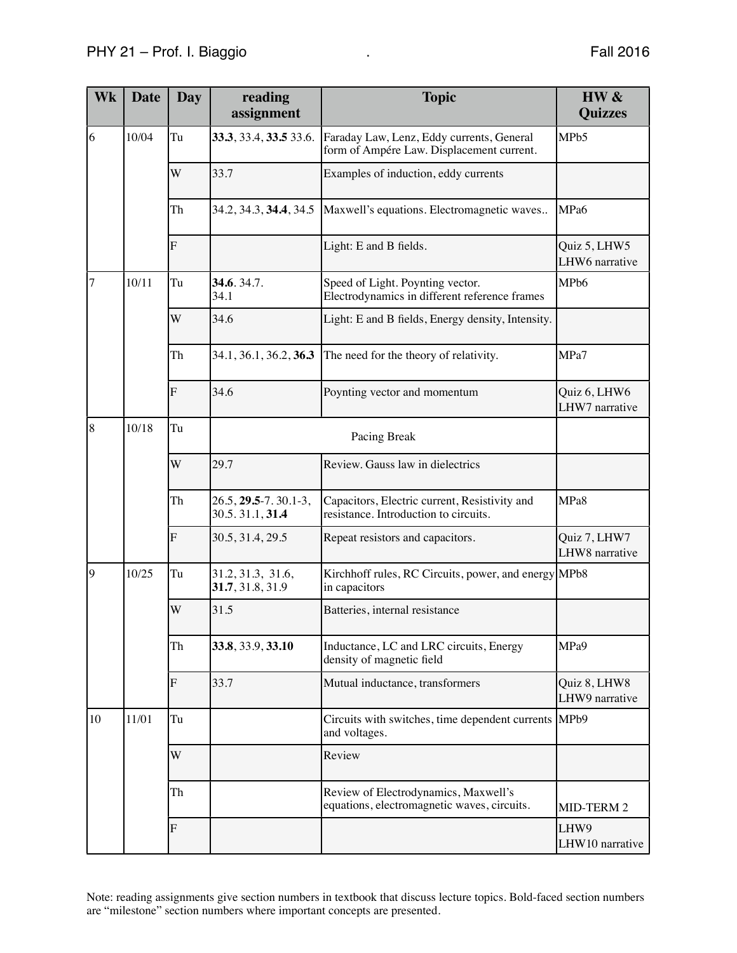| Wk             | <b>Date</b> | Day                     | reading<br>assignment                        | <b>Topic</b>                                                                           | HW &<br><b>Quizzes</b>         |
|----------------|-------------|-------------------------|----------------------------------------------|----------------------------------------------------------------------------------------|--------------------------------|
| 6              | 10/04       | Tu                      | 33.3, 33.4, 33.5 33.6.                       | Faraday Law, Lenz, Eddy currents, General<br>form of Ampére Law. Displacement current. | MPb5                           |
|                |             | W                       | 33.7                                         | Examples of induction, eddy currents                                                   |                                |
|                |             | Th                      | 34.2, 34.3, 34.4, 34.5                       | Maxwell's equations. Electromagnetic waves                                             | MPa6                           |
|                |             | $\overline{\mathrm{F}}$ |                                              | Light: E and B fields.                                                                 | Quiz 5, LHW5<br>LHW6 narrative |
| 7              | 10/11       | Tu                      | 34.6.34.7.<br>34.1                           | Speed of Light. Poynting vector.<br>Electrodynamics in different reference frames      | MPb6                           |
|                |             | W                       | 34.6                                         | Light: E and B fields, Energy density, Intensity.                                      |                                |
|                |             | Th                      | 34.1, 36.1, 36.2, 36.3                       | The need for the theory of relativity.                                                 | MPa7                           |
|                |             | $\overline{\mathrm{F}}$ | 34.6                                         | Poynting vector and momentum                                                           | Quiz 6, LHW6<br>LHW7 narrative |
| $\overline{8}$ | 10/18       | Tu                      |                                              | Pacing Break                                                                           |                                |
|                |             | W                       | 29.7                                         | Review. Gauss law in dielectrics                                                       |                                |
|                |             | Th                      | $26.5, 29.5 - 7.30.1 - 3,$<br>30.5.31.1,31.4 | Capacitors, Electric current, Resistivity and<br>resistance. Introduction to circuits. | MPa8                           |
|                |             | $\overline{\mathrm{F}}$ | 30.5, 31.4, 29.5                             | Repeat resistors and capacitors.                                                       | Quiz 7, LHW7<br>LHW8 narrative |
| $\overline{9}$ | 10/25       | Tu                      | 31.2, 31.3, 31.6,<br>31.7, 31.8, 31.9        | Kirchhoff rules, RC Circuits, power, and energy MPb8<br>in capacitors                  |                                |
|                |             | W                       | 31.5                                         | Batteries, internal resistance                                                         |                                |
|                |             | Th                      | 33.8, 33.9, 33.10                            | Inductance, LC and LRC circuits, Energy<br>density of magnetic field                   | MPa9                           |
|                |             | F                       | 33.7                                         | Mutual inductance, transformers                                                        | Quiz 8, LHW8<br>LHW9 narrative |
| 10             | 11/01       | Tu                      |                                              | Circuits with switches, time dependent currents<br>and voltages.                       | MP <sub>b9</sub>               |
|                |             | W                       |                                              | Review                                                                                 |                                |
|                |             | Th                      |                                              | Review of Electrodynamics, Maxwell's<br>equations, electromagnetic waves, circuits.    | MID-TERM 2                     |
|                |             | $\overline{\mathrm{F}}$ |                                              |                                                                                        | LHW9<br>LHW10 narrative        |